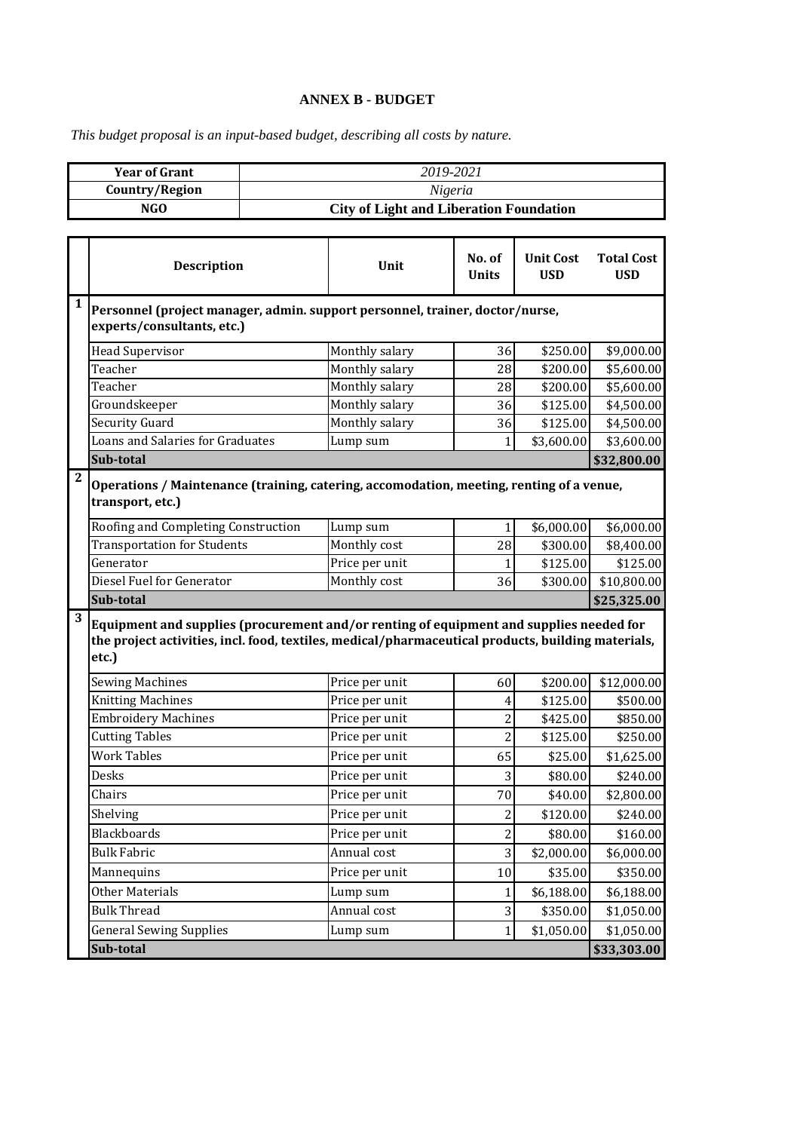## **ANNEX B - BUDGET**

*This budget proposal is an input-based budget, describing all costs by nature.*

|                | <b>Year of Grant</b>                                                                                                                                                                                   |                                                | 2019-2021      |                        |                                |                                 |  |  |  |  |  |
|----------------|--------------------------------------------------------------------------------------------------------------------------------------------------------------------------------------------------------|------------------------------------------------|----------------|------------------------|--------------------------------|---------------------------------|--|--|--|--|--|
| Country/Region |                                                                                                                                                                                                        | Nigeria                                        |                |                        |                                |                                 |  |  |  |  |  |
| <b>NGO</b>     |                                                                                                                                                                                                        | <b>City of Light and Liberation Foundation</b> |                |                        |                                |                                 |  |  |  |  |  |
|                |                                                                                                                                                                                                        |                                                |                |                        |                                |                                 |  |  |  |  |  |
|                | <b>Description</b>                                                                                                                                                                                     |                                                | Unit           | No. of<br><b>Units</b> | <b>Unit Cost</b><br><b>USD</b> | <b>Total Cost</b><br><b>USD</b> |  |  |  |  |  |
| 1              | Personnel (project manager, admin. support personnel, trainer, doctor/nurse,<br>experts/consultants, etc.)                                                                                             |                                                |                |                        |                                |                                 |  |  |  |  |  |
|                | <b>Head Supervisor</b>                                                                                                                                                                                 |                                                | Monthly salary | 36                     | \$250.00                       | \$9,000.00                      |  |  |  |  |  |
|                | Teacher                                                                                                                                                                                                |                                                | Monthly salary | 28                     | \$200.00                       | \$5,600.00                      |  |  |  |  |  |
|                | Teacher                                                                                                                                                                                                |                                                | Monthly salary | 28                     | \$200.00                       | \$5,600.00                      |  |  |  |  |  |
|                | Groundskeeper                                                                                                                                                                                          |                                                | Monthly salary | 36                     | \$125.00                       | \$4,500.00                      |  |  |  |  |  |
|                | <b>Security Guard</b>                                                                                                                                                                                  |                                                | Monthly salary | 36                     | \$125.00                       | \$4,500.00                      |  |  |  |  |  |
|                | Loans and Salaries for Graduates                                                                                                                                                                       |                                                | Lump sum       | 1                      | \$3,600.00                     | \$3,600.00                      |  |  |  |  |  |
|                | Sub-total                                                                                                                                                                                              |                                                |                |                        |                                | \$32,800.00                     |  |  |  |  |  |
| $\mathbf{2}$   | Operations / Maintenance (training, catering, accomodation, meeting, renting of a venue,<br>transport, etc.)                                                                                           |                                                |                |                        |                                |                                 |  |  |  |  |  |
|                | Roofing and Completing Construction                                                                                                                                                                    |                                                | Lump sum       | $\mathbf{1}$           | \$6,000.00                     | \$6,000.00                      |  |  |  |  |  |
|                | <b>Transportation for Students</b>                                                                                                                                                                     |                                                | Monthly cost   | 28                     | \$300.00                       | \$8,400.00                      |  |  |  |  |  |
|                | Generator                                                                                                                                                                                              |                                                | Price per unit | 1                      | \$125.00                       | \$125.00                        |  |  |  |  |  |
|                | Diesel Fuel for Generator                                                                                                                                                                              |                                                | Monthly cost   | 36                     | \$300.00                       | \$10,800.00                     |  |  |  |  |  |
|                | Sub-total                                                                                                                                                                                              |                                                |                |                        |                                | \$25,325.00                     |  |  |  |  |  |
| 3              | Equipment and supplies (procurement and/or renting of equipment and supplies needed for<br>the project activities, incl. food, textiles, medical/pharmaceutical products, building materials,<br>etc.) |                                                |                |                        |                                |                                 |  |  |  |  |  |
|                | <b>Sewing Machines</b>                                                                                                                                                                                 |                                                | Price per unit | 60                     | \$200.00                       | \$12,000.00                     |  |  |  |  |  |
|                | <b>Knitting Machines</b>                                                                                                                                                                               |                                                | Price per unit | 4                      | \$125.00                       | \$500.00                        |  |  |  |  |  |
|                | <b>Embroidery Machines</b>                                                                                                                                                                             |                                                | Price per unit | $\overline{2}$         | \$425.00                       | \$850.00                        |  |  |  |  |  |
|                | <b>Cutting Tables</b>                                                                                                                                                                                  |                                                | Price per unit | $\overline{c}$         | \$125.00                       | \$250.00                        |  |  |  |  |  |
|                | <b>Work Tables</b>                                                                                                                                                                                     |                                                | Price per unit | 65                     | \$25.00                        | \$1,625.00                      |  |  |  |  |  |
|                | Desks                                                                                                                                                                                                  |                                                | Price per unit | 3                      | \$80.00                        | \$240.00                        |  |  |  |  |  |
|                | Chairs                                                                                                                                                                                                 |                                                | Price per unit | 70                     | \$40.00                        | \$2,800.00                      |  |  |  |  |  |
|                | Shelving                                                                                                                                                                                               |                                                | Price per unit | 2                      | \$120.00                       | \$240.00                        |  |  |  |  |  |
|                | <b>Blackboards</b>                                                                                                                                                                                     |                                                | Price per unit | $\overline{2}$         | \$80.00                        | \$160.00                        |  |  |  |  |  |
|                | <b>Bulk Fabric</b>                                                                                                                                                                                     |                                                | Annual cost    | 3                      | \$2,000.00                     | \$6,000.00                      |  |  |  |  |  |
|                | Mannequins                                                                                                                                                                                             |                                                | Price per unit | 10                     | \$35.00                        | \$350.00                        |  |  |  |  |  |
|                | <b>Other Materials</b>                                                                                                                                                                                 |                                                | Lump sum       | $\mathbf{1}$           | \$6,188.00                     | \$6,188.00                      |  |  |  |  |  |
|                | <b>Bulk Thread</b>                                                                                                                                                                                     |                                                | Annual cost    | 3                      | \$350.00                       | \$1,050.00                      |  |  |  |  |  |
|                | <b>General Sewing Supplies</b>                                                                                                                                                                         |                                                | Lump sum       | $\mathbf{1}$           | \$1,050.00                     | \$1,050.00                      |  |  |  |  |  |
|                | Sub-total                                                                                                                                                                                              |                                                |                |                        |                                | \$33,303.00                     |  |  |  |  |  |